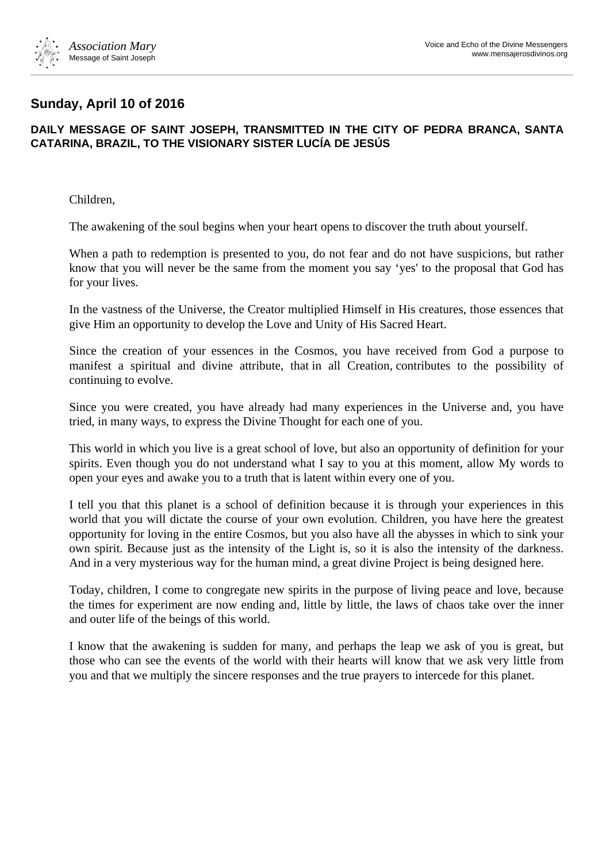

## **Sunday, April 10 of 2016**

## **DAILY MESSAGE OF SAINT JOSEPH, TRANSMITTED IN THE CITY OF PEDRA BRANCA, SANTA CATARINA, BRAZIL, TO THE VISIONARY SISTER LUCÍA DE JESÚS**

Children,

The awakening of the soul begins when your heart opens to discover the truth about yourself.

When a path to redemption is presented to you, do not fear and do not have suspicions, but rather know that you will never be the same from the moment you say 'yes' to the proposal that God has for your lives.

In the vastness of the Universe, the Creator multiplied Himself in His creatures, those essences that give Him an opportunity to develop the Love and Unity of His Sacred Heart.

Since the creation of your essences in the Cosmos, you have received from God a purpose to manifest a spiritual and divine attribute, that in all Creation, contributes to the possibility of continuing to evolve.

Since you were created, you have already had many experiences in the Universe and, you have tried, in many ways, to express the Divine Thought for each one of you.

This world in which you live is a great school of love, but also an opportunity of definition for your spirits. Even though you do not understand what I say to you at this moment, allow My words to open your eyes and awake you to a truth that is latent within every one of you.

I tell you that this planet is a school of definition because it is through your experiences in this world that you will dictate the course of your own evolution. Children, you have here the greatest opportunity for loving in the entire Cosmos, but you also have all the abysses in which to sink your own spirit. Because just as the intensity of the Light is, so it is also the intensity of the darkness. And in a very mysterious way for the human mind, a great divine Project is being designed here.

Today, children, I come to congregate new spirits in the purpose of living peace and love, because the times for experiment are now ending and, little by little, the laws of chaos take over the inner and outer life of the beings of this world.

I know that the awakening is sudden for many, and perhaps the leap we ask of you is great, but those who can see the events of the world with their hearts will know that we ask very little from you and that we multiply the sincere responses and the true prayers to intercede for this planet.